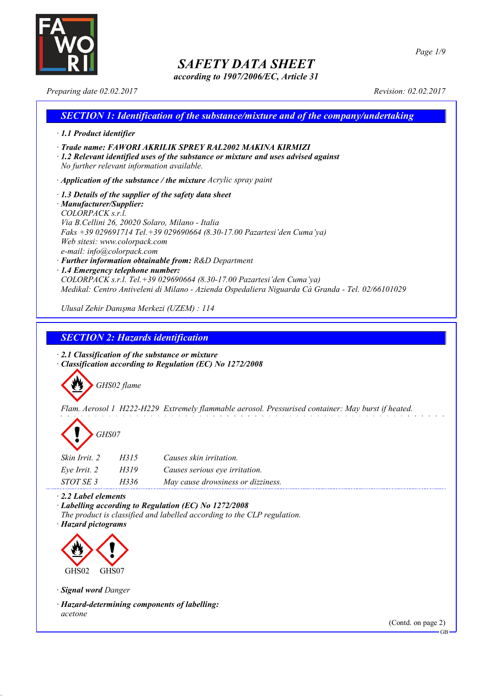

*according to 1907/2006/EC, Article 31*

*Preparing date 02.02.2017 Revision: 02.02.2017*

*Page 1/9*

## *SECTION 1: Identification of the substance/mixture and of the company/undertaking · 1.1 Product identifier · Trade name: FAWORI AKRILIK SPREY RAL2002 MAKINA KIRMIZI · 1.2 Relevant identified uses of the substance or mixture and uses advised against No further relevant information available. · Application of the substance / the mixture Acrylic spray paint · 1.3 Details of the supplier of the safety data sheet · Manufacturer/Supplier: COLORPACK s.r.l. Via B.Cellini 26, 20020 Solaro, Milano - Italia Faks +39 029691714 Tel.+39 029690664 (8.30-17.00 Pazartesi'den Cuma'ya) Web sitesi: www.colorpack.com e-mail: info@colorpack.com · Further information obtainable from: R&D Department · 1.4 Emergency telephone number: COLORPACK s.r.l. Tel.+39 029690664 (8.30-17.00 Pazartesi'den Cuma'ya) Medikal: Centro Antiveleni di Milano - Azienda Ospedaliera Niguarda Cà Granda - Tel. 02/66101029 Ulusal Zehir Danışma Merkezi (UZEM) : 114*

### *SECTION 2: Hazards identification*

*· 2.1 Classification of the substance or mixture · Classification according to Regulation (EC) No 1272/2008*



*Flam. Aerosol 1 H222-H229 Extremely flammable aerosol. Pressurised container: May burst if heated.*



| <i>Skin Irrit. 2</i> | H315 | Causes skin irritation.            |
|----------------------|------|------------------------------------|
| Eye Irrit. 2         | H319 | Causes serious eye irritation.     |
| STOT SE 3            | H336 | May cause drowsiness or dizziness. |

*· 2.2 Label elements*

*· Labelling according to Regulation (EC) No 1272/2008 The product is classified and labelled according to the CLP regulation.*

*· Hazard pictograms*



*· Signal word Danger*

*· Hazard-determining components of labelling: acetone*

(Contd. on page 2)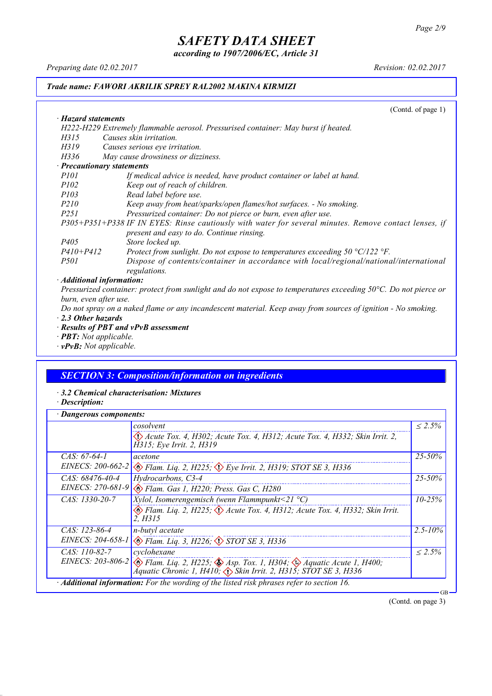*according to 1907/2006/EC, Article 31*

*Preparing date 02.02.2017 Revision: 02.02.2017*

*· Hazard statements*

### *Trade name: FAWORI AKRILIK SPREY RAL2002 MAKINA KIRMIZI*

(Contd. of page 1)

| H222-H229 Extremely flammable aerosol. Pressurised container: May burst if heated.                                    |
|-----------------------------------------------------------------------------------------------------------------------|
| H315<br>Causes skin irritation.                                                                                       |
| H319<br>Causes serious eye irritation.                                                                                |
| May cause drowsiness or dizziness.<br>H336                                                                            |
| · Precautionary statements                                                                                            |
| <i>P101</i><br>If medical advice is needed, have product container or label at hand.                                  |
| Keep out of reach of children.<br><i>P102</i>                                                                         |
| <i>P103</i><br>Read label before use.                                                                                 |
| <i>P210</i><br>Keep away from heat/sparks/open flames/hot surfaces. - No smoking.                                     |
| Pressurized container: Do not pierce or burn, even after use.<br><i>P251</i>                                          |
| P305+P351+P338 IF IN EYES: Rinse cautiously with water for several minutes. Remove contact lenses, if                 |
| present and easy to do. Continue rinsing.                                                                             |
| P <sub>405</sub><br>Store locked up.                                                                                  |
| $P410 + P412$<br>Protect from sunlight. Do not expose to temperatures exceeding 50 $\degree$ C/122 $\degree$ F.       |
| Dispose of contents/container in accordance with local/regional/national/international<br><i>P501</i><br>regulations. |
| · Additional information:                                                                                             |

Pressurized container: protect from sunlight and do not expose to temperatures exceeding 50°C. Do not pierce or *burn, even after use.*

Do not spray on a naked flame or any incandescent material. Keep away from sources of ignition - No smoking. *· 2.3 Other hazards*

- *· Results of PBT and vPvB assessment*
- *· PBT: Not applicable.*
- *· vPvB: Not applicable.*

### *SECTION 3: Composition/information on ingredients*

- *· 3.2 Chemical characterisation: Mixtures*
- *· Description:*

| Dangerous components: |                                                                                                                                                                                           |              |
|-----------------------|-------------------------------------------------------------------------------------------------------------------------------------------------------------------------------------------|--------------|
|                       | cosolvent                                                                                                                                                                                 | $< 2.5\%$    |
|                       | Acute Tox. 4, H302; Acute Tox. 4, H312; Acute Tox. 4, H332; Skin Irrit. 2,<br>H315; Eye Irrit. 2, H319                                                                                    |              |
| $CAS. 67-64-1$        | acetone                                                                                                                                                                                   | $25 - 50\%$  |
|                       | EINECS: 200-662-2 $\otimes$ Flam. Lig. 2, H225; $\otimes$ Eye Irrit. 2, H319; STOT SE 3, H336                                                                                             |              |
| $CAS. 68476-40-4$     | Hydrocarbons, C3-4                                                                                                                                                                        | $25 - 50\%$  |
| EINECS: 270-681-9     | Elam. Gas 1, H220; Press. Gas C, H280                                                                                                                                                     |              |
| $CAS: 1330-20-7$      | <i>Xylol, Isomerengemisch (wenn Flammpunkt</i> <21 $^{\circ}$ C)                                                                                                                          | $10 - 25%$   |
|                       | Flam. Liq. 2, H225; $\Diamond$ Acute Tox. 4, H312; Acute Tox. 4, H332; Skin Irrit.<br>2. H315                                                                                             |              |
| CAS: 123-86-4         | n-butyl acetate                                                                                                                                                                           | $2.5 - 10\%$ |
|                       | EINECS: 204-658-1 & Flam. Liq. 3, H226; STOT SE 3, H336                                                                                                                                   |              |
| $CAS: 110-82-7$       | cyclohexane                                                                                                                                                                               | $< 2.5\%$    |
|                       | EINECS: 203-806-2 $\otimes$ Flam. Liq. 2, H225; $\otimes$ Asp. Tox. 1, H304; $\otimes$ Aquatic Acute 1, H400;<br>Aquatic Chronic 1, H410; $\Diamond$ Skin Irrit. 2, H315; STOT SE 3, H336 |              |
|                       | · Additional information: For the wording of the listed risk phrases refer to section 16.                                                                                                 | GB           |

(Contd. on page 3)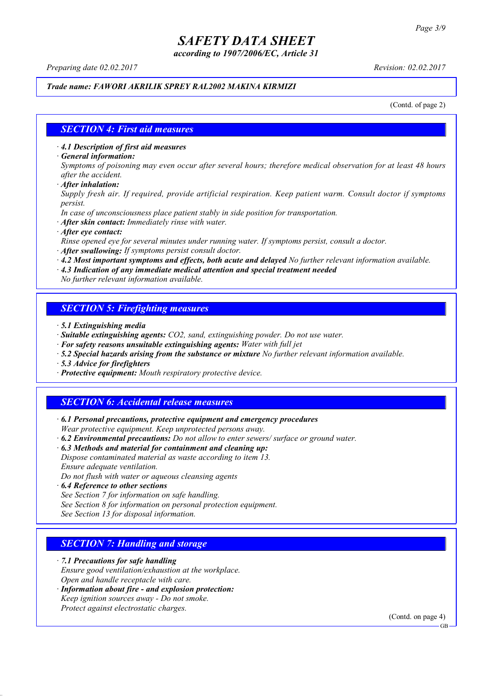*according to 1907/2006/EC, Article 31*

*Preparing date 02.02.2017 Revision: 02.02.2017*

### *Trade name: FAWORI AKRILIK SPREY RAL2002 MAKINA KIRMIZI*

(Contd. of page 2)

#### *SECTION 4: First aid measures*

*· 4.1 Description of first aid measures*

*· General information:*

Symptoms of poisoning may even occur after several hours; therefore medical observation for at least 48 hours *after the accident.*

*· After inhalation:*

*Supply fresh air. If required, provide artificial respiration. Keep patient warm. Consult doctor if symptoms persist.*

*In case of unconsciousness place patient stably in side position for transportation.*

- *· After skin contact: Immediately rinse with water.*
- *· After eye contact:*

*Rinse opened eye for several minutes under running water. If symptoms persist, consult a doctor.*

*· After swallowing: If symptoms persist consult doctor.*

*· 4.2 Most important symptoms and effects, both acute and delayed No further relevant information available.*

*· 4.3 Indication of any immediate medical attention and special treatment needed*

*No further relevant information available.*

### *SECTION 5: Firefighting measures*

- *· 5.1 Extinguishing media*
- *· Suitable extinguishing agents: CO2, sand, extinguishing powder. Do not use water.*
- *· For safety reasons unsuitable extinguishing agents: Water with full jet*
- *· 5.2 Special hazards arising from the substance or mixture No further relevant information available.*
- *· 5.3 Advice for firefighters*
- *· Protective equipment: Mouth respiratory protective device.*

### *SECTION 6: Accidental release measures*

*· 6.1 Personal precautions, protective equipment and emergency procedures Wear protective equipment. Keep unprotected persons away.*

*· 6.2 Environmental precautions: Do not allow to enter sewers/ surface or ground water.*

*· 6.3 Methods and material for containment and cleaning up:*

*Dispose contaminated material as waste according to item 13. Ensure adequate ventilation.*

*Do not flush with water or aqueous cleansing agents*

- *· 6.4 Reference to other sections*
- *See Section 7 for information on safe handling.*

*See Section 8 for information on personal protection equipment.*

*See Section 13 for disposal information.*

### *SECTION 7: Handling and storage*

*· 7.1 Precautions for safe handling*

*Ensure good ventilation/exhaustion at the workplace.*

*Open and handle receptacle with care.*

*· Information about fire - and explosion protection: Keep ignition sources away - Do not smoke.*

*Protect against electrostatic charges.*

(Contd. on page 4)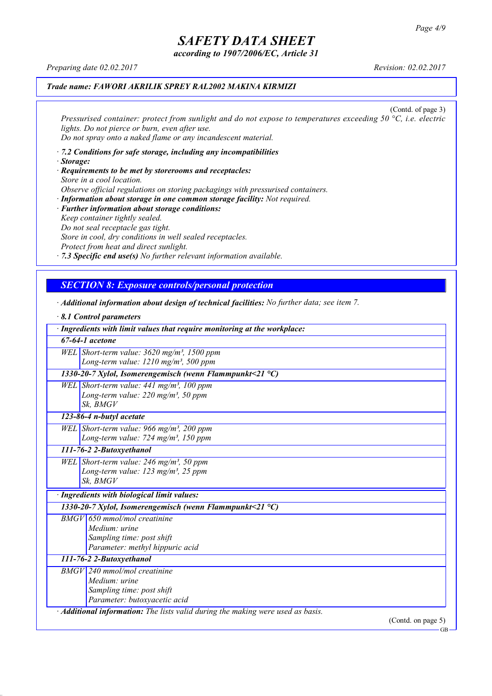GB

# *SAFETY DATA SHEET*

*according to 1907/2006/EC, Article 31*

*Preparing date 02.02.2017 Revision: 02.02.2017*

*· 8.1 Control parameters*

### *Trade name: FAWORI AKRILIK SPREY RAL2002 MAKINA KIRMIZI*

(Contd. of page 3) *Pressurised container: protect from sunlight and do not expose to temperatures exceeding 50 °C, i.e. electric lights. Do not pierce or burn, even after use. Do not spray onto a naked flame or any incandescent material.*

- *· 7.2 Conditions for safe storage, including any incompatibilities · Storage:*
- *· Requirements to be met by storerooms and receptacles: Store in a cool location. Observe official regulations on storing packagings with pressurised containers.*
- *· Information about storage in one common storage facility: Not required. · Further information about storage conditions: Keep container tightly sealed. Do not seal receptacle gas tight. Store in cool, dry conditions in well sealed receptacles. Protect from heat and direct sunlight.*

*· 7.3 Specific end use(s) No further relevant information available.*

### *SECTION 8: Exposure controls/personal protection*

*· Additional information about design of technical facilities: No further data; see item 7.*

| <b>8.1 Control parameters</b>          |                                                                                 |
|----------------------------------------|---------------------------------------------------------------------------------|
|                                        | · Ingredients with limit values that require monitoring at the workplace:       |
| $67-64-1$ acetone                      |                                                                                 |
|                                        | WEL Short-term value: $3620$ mg/m <sup>3</sup> , 1500 ppm                       |
|                                        | Long-term value: $1210$ mg/m <sup>3</sup> , 500 ppm                             |
|                                        | 1330-20-7 Xylol, Isomerengemisch (wenn Flammpunkt<21 $^{\circ}$ C)              |
|                                        | WEL Short-term value: $441$ mg/m <sup>3</sup> , 100 ppm                         |
|                                        | Long-term value: 220 mg/m <sup>3</sup> , 50 ppm                                 |
| Sk, BMGV                               |                                                                                 |
| $\overline{123}$ -86-4 n-butyl acetate |                                                                                 |
|                                        | WEL Short-term value: 966 mg/m <sup>3</sup> , 200 ppm                           |
|                                        | Long-term value: $724$ mg/m <sup>3</sup> , 150 ppm                              |
| 111-76-2 2-Butoxyethanol               |                                                                                 |
|                                        | WEL Short-term value: $246$ mg/m <sup>3</sup> , 50 ppm                          |
|                                        | Long-term value: 123 mg/m <sup>3</sup> , 25 ppm                                 |
| Sk, BMGV                               |                                                                                 |
|                                        | · Ingredients with biological limit values:                                     |
|                                        | 1330-20-7 Xylol, Isomerengemisch (wenn Flammpunkt<21 $^{\circ}$ C)              |
|                                        | $BMGV$ 650 mmol/mol creatinine                                                  |
|                                        | Medium: urine                                                                   |
|                                        | Sampling time: post shift                                                       |
|                                        | Parameter: methyl hippuric acid                                                 |
| 111-76-2 2-Butoxyethanol               |                                                                                 |
|                                        | $BMGV$ 240 mmol/mol creatinine                                                  |
|                                        | Medium: urine                                                                   |
|                                        | Sampling time: post shift                                                       |
|                                        | Parameter: butoxyacetic acid                                                    |
|                                        | · Additional information: The lists valid during the making were used as basis. |
|                                        | (Contd. on page 5)                                                              |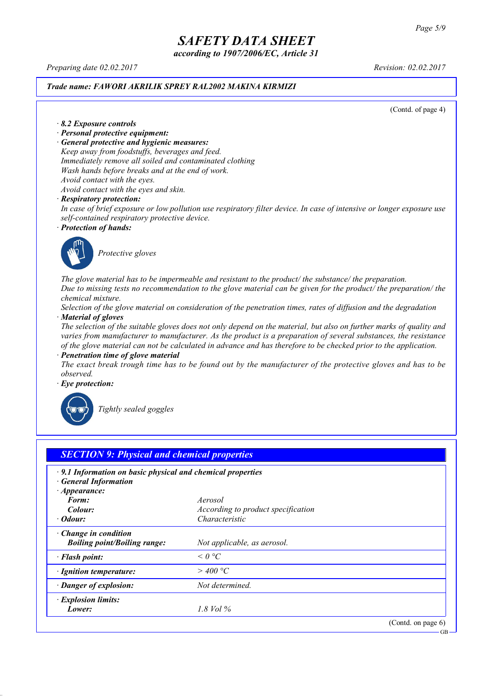*according to 1907/2006/EC, Article 31*

*Preparing date 02.02.2017 Revision: 02.02.2017*

#### *Trade name: FAWORI AKRILIK SPREY RAL2002 MAKINA KIRMIZI*

(Contd. of page 4)

*· 8.2 Exposure controls*

- *· Personal protective equipment:*
- *· General protective and hygienic measures:*

*Keep away from foodstuffs, beverages and feed. Immediately remove all soiled and contaminated clothing Wash hands before breaks and at the end of work. Avoid contact with the eyes. Avoid contact with the eyes and skin.*

*· Respiratory protection:*

In case of brief exposure or low pollution use respiratory filter device. In case of intensive or longer exposure use *self-contained respiratory protective device.*

*· Protection of hands:*



*Protective gloves*

*The glove material has to be impermeable and resistant to the product/ the substance/ the preparation.* Due to missing tests no recommendation to the glove material can be given for the product/ the preparation/ the *chemical mixture.*

Selection of the glove material on consideration of the penetration times, rates of diffusion and the degradation *· Material of gloves*

The selection of the suitable gloves does not only depend on the material, but also on further marks of quality and *varies from manufacturer to manufacturer. As the product is a preparation of several substances, the resistance* of the glove material can not be calculated in advance and has therefore to be checked prior to the application.

*· Penetration time of glove material*

The exact break trough time has to be found out by the manufacturer of the protective gloves and has to be *observed.*

*· Eye protection:*



*Tightly sealed goggles*

| $\cdot$ 9.1 Information on basic physical and chemical properties<br><b>General Information</b><br>$\cdot$ Appearance: |                                    |  |
|------------------------------------------------------------------------------------------------------------------------|------------------------------------|--|
| Form:                                                                                                                  | Aerosol                            |  |
| Colour:                                                                                                                | According to product specification |  |
| $\cdot$ Odour:                                                                                                         | Characteristic                     |  |
| $\cdot$ Change in condition<br><b>Boiling point/Boiling range:</b>                                                     | Not applicable, as aerosol.        |  |
| · Flash point:                                                                                                         | $\leq$ 0 °C                        |  |
| · Ignition temperature:                                                                                                | $>$ 400 °C                         |  |
| · Danger of explosion:                                                                                                 | Not determined.                    |  |
| · Explosion limits:                                                                                                    |                                    |  |
| Lower:                                                                                                                 | 1.8 Vol $\%$                       |  |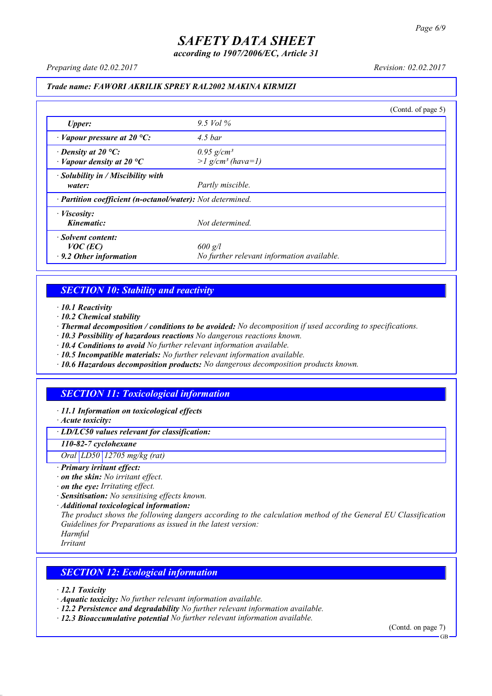*according to 1907/2006/EC, Article 31*

*Preparing date 02.02.2017 Revision: 02.02.2017*

### *Trade name: FAWORI AKRILIK SPREY RAL2002 MAKINA KIRMIZI*

|                                                                   |                                                             | (Contd. of page 5) |
|-------------------------------------------------------------------|-------------------------------------------------------------|--------------------|
| <b>Upper:</b>                                                     | 9.5 Vol $\%$                                                |                    |
| $\cdot$ Vapour pressure at 20 °C:                                 | $4.5\,bar$                                                  |                    |
| $\cdot$ Density at 20 °C:<br>$\cdot$ Vapour density at 20 °C      | $0.95$ g/cm <sup>3</sup><br>$>l$ g/cm <sup>3</sup> (hava=1) |                    |
| $\cdot$ Solubility in / Miscibility with<br>water:                | Partly miscible.                                            |                    |
| · Partition coefficient (n-octanol/water): Not determined.        |                                                             |                    |
| $\cdot$ <i>Viscosity:</i><br>Kinematic:                           | Not determined.                                             |                    |
| · Solvent content:<br>$VOC$ (EC)<br>$\cdot$ 9.2 Other information | $600$ g/l<br>No further relevant information available.     |                    |

### *SECTION 10: Stability and reactivity*

*· 10.1 Reactivity*

- *· 10.2 Chemical stability*
- *· Thermal decomposition / conditions to be avoided: No decomposition if used according to specifications.*
- *· 10.3 Possibility of hazardous reactions No dangerous reactions known.*
- *· 10.4 Conditions to avoid No further relevant information available.*
- *· 10.5 Incompatible materials: No further relevant information available.*
- *· 10.6 Hazardous decomposition products: No dangerous decomposition products known.*

### *SECTION 11: Toxicological information*

*· 11.1 Information on toxicological effects*

*· Acute toxicity:*

*· LD/LC50 values relevant for classification:*

*110-82-7 cyclohexane*

*Oral LD50 12705 mg/kg (rat)*

- *· Primary irritant effect:*
- *· on the skin: No irritant effect.*
- *· on the eye: Irritating effect.*
- *· Sensitisation: No sensitising effects known.*
- *· Additional toxicological information:*

*The product shows the following dangers according to the calculation method of the General EU Classification Guidelines for Preparations as issued in the latest version:*

*Harmful*

*Irritant*

### *SECTION 12: Ecological information*

*· 12.1 Toxicity*

- *· Aquatic toxicity: No further relevant information available.*
- *· 12.2 Persistence and degradability No further relevant information available.*
- *· 12.3 Bioaccumulative potential No further relevant information available.*

(Contd. on page 7)

**GB**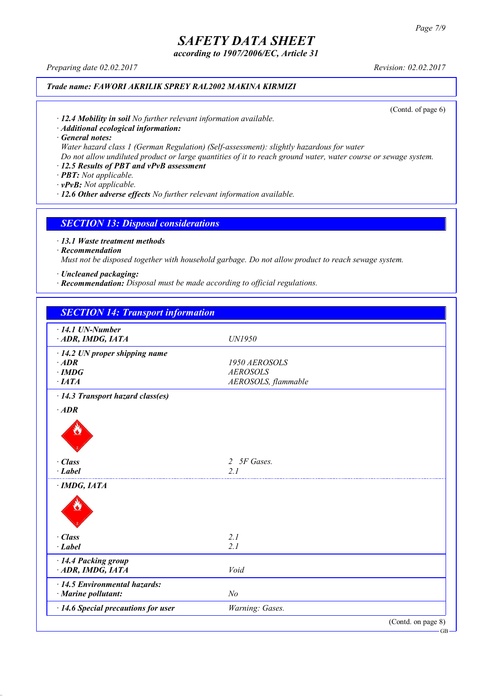*according to 1907/2006/EC, Article 31*

*Preparing date 02.02.2017 Revision: 02.02.2017*

### *Trade name: FAWORI AKRILIK SPREY RAL2002 MAKINA KIRMIZI*

(Contd. of page 6)

*· 12.4 Mobility in soil No further relevant information available.*

*· Additional ecological information:*

*· General notes:*

*Water hazard class 1 (German Regulation) (Self-assessment): slightly hazardous for water*

Do not allow undiluted product or large quantities of it to reach ground water, water course or sewage system.

### *· 12.5 Results of PBT and vPvB assessment*

*· PBT: Not applicable.*

*· vPvB: Not applicable.*

*· 12.6 Other adverse effects No further relevant information available.*

### *SECTION 13: Disposal considerations*

*· 13.1 Waste treatment methods*

*· Recommendation*

*Must not be disposed together with household garbage. Do not allow product to reach sewage system.*

*· Uncleaned packaging:*

*· Recommendation: Disposal must be made according to official regulations.*

| <b>SECTION 14: Transport information</b>             |                     |                    |
|------------------------------------------------------|---------------------|--------------------|
| $\cdot$ 14.1 UN-Number                               |                     |                    |
| ADR, IMDG, IATA                                      | UN1950              |                    |
| $\cdot$ 14.2 UN proper shipping name                 |                     |                    |
| $·$ <i>ADR</i>                                       | 1950 AEROSOLS       |                    |
| $\cdot$ IMDG                                         | <b>AEROSOLS</b>     |                    |
| $\cdot$ IATA                                         | AEROSOLS, flammable |                    |
| $\cdot$ 14.3 Transport hazard class(es)              |                     |                    |
| $·$ <i>ADR</i>                                       |                     |                    |
|                                                      |                     |                    |
| · Class                                              | 5F Gases.<br>2      |                    |
| $\cdot$ Label                                        | 21                  |                    |
| $\cdot$ IMDG, IATA                                   |                     |                    |
|                                                      |                     |                    |
| · Class                                              | 2.1                 |                    |
| $-Label$                                             | 2.1                 |                    |
| · 14.4 Packing group                                 |                     |                    |
| ADR, IMDG, IATA                                      | Void                |                    |
| · 14.5 Environmental hazards:<br>· Marine pollutant: | N <sub>o</sub>      |                    |
| · 14.6 Special precautions for user                  | Warning: Gases.     |                    |
|                                                      |                     | (Contd. on page 8) |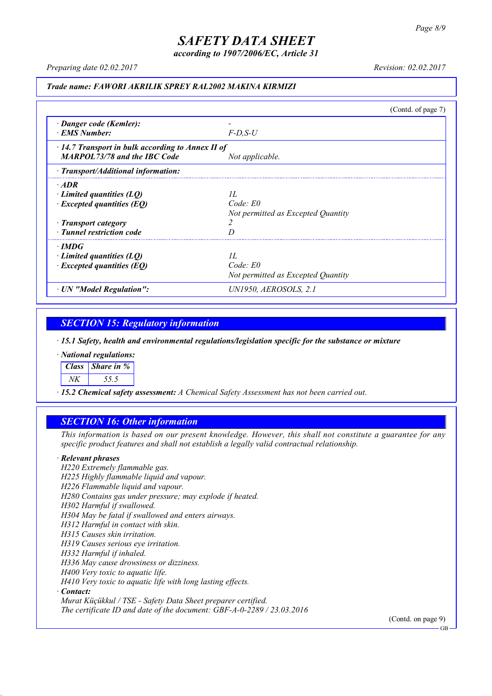*according to 1907/2006/EC, Article 31*

*Preparing date 02.02.2017 Revision: 02.02.2017*

#### *Trade name: FAWORI AKRILIK SPREY RAL2002 MAKINA KIRMIZI*

(Contd. of page 7) *· Danger code (Kemler): - · EMS Number: F-D,S-U · 14.7 Transport in bulk according to Annex II of MARPOL73/78 and the IBC Code Not applicable. · Transport/Additional information: · ADR · Limited quantities (LQ) 1L · Excepted quantities (EQ) Code: E0 Not permitted as Excepted Quantity · Transport category 2 · Tunnel restriction code D · IMDG · Limited quantities (LQ) 1L · Excepted quantities (EQ) Code: E0 Not permitted as Excepted Quantity · UN "Model Regulation": UN1950, AEROSOLS, 2.1*

### *SECTION 15: Regulatory information*

*· 15.1 Safety, health and environmental regulations/legislation specific for the substance or mixture*

*· National regulations:*

*Class Share in %*

*NK 55.5*

*· 15.2 Chemical safety assessment: A Chemical Safety Assessment has not been carried out.*

### *SECTION 16: Other information*

This information is based on our present knowledge. However, this shall not constitute a guarantee for any *specific product features and shall not establish a legally valid contractual relationship.*

#### *· Relevant phrases*

*H220 Extremely flammable gas. H225 Highly flammable liquid and vapour. H226 Flammable liquid and vapour. H280 Contains gas under pressure; may explode if heated. H302 Harmful if swallowed. H304 May be fatal if swallowed and enters airways. H312 Harmful in contact with skin. H315 Causes skin irritation. H319 Causes serious eye irritation. H332 Harmful if inhaled. H336 May cause drowsiness or dizziness. H400 Very toxic to aquatic life. H410 Very toxic to aquatic life with long lasting effects. · Contact: Murat Küçükkul / TSE - Safety Data Sheet preparer certified.*

*The certificate ID and date of the document: GBF-A-0-2289 / 23.03.2016*

(Contd. on page 9)

GB